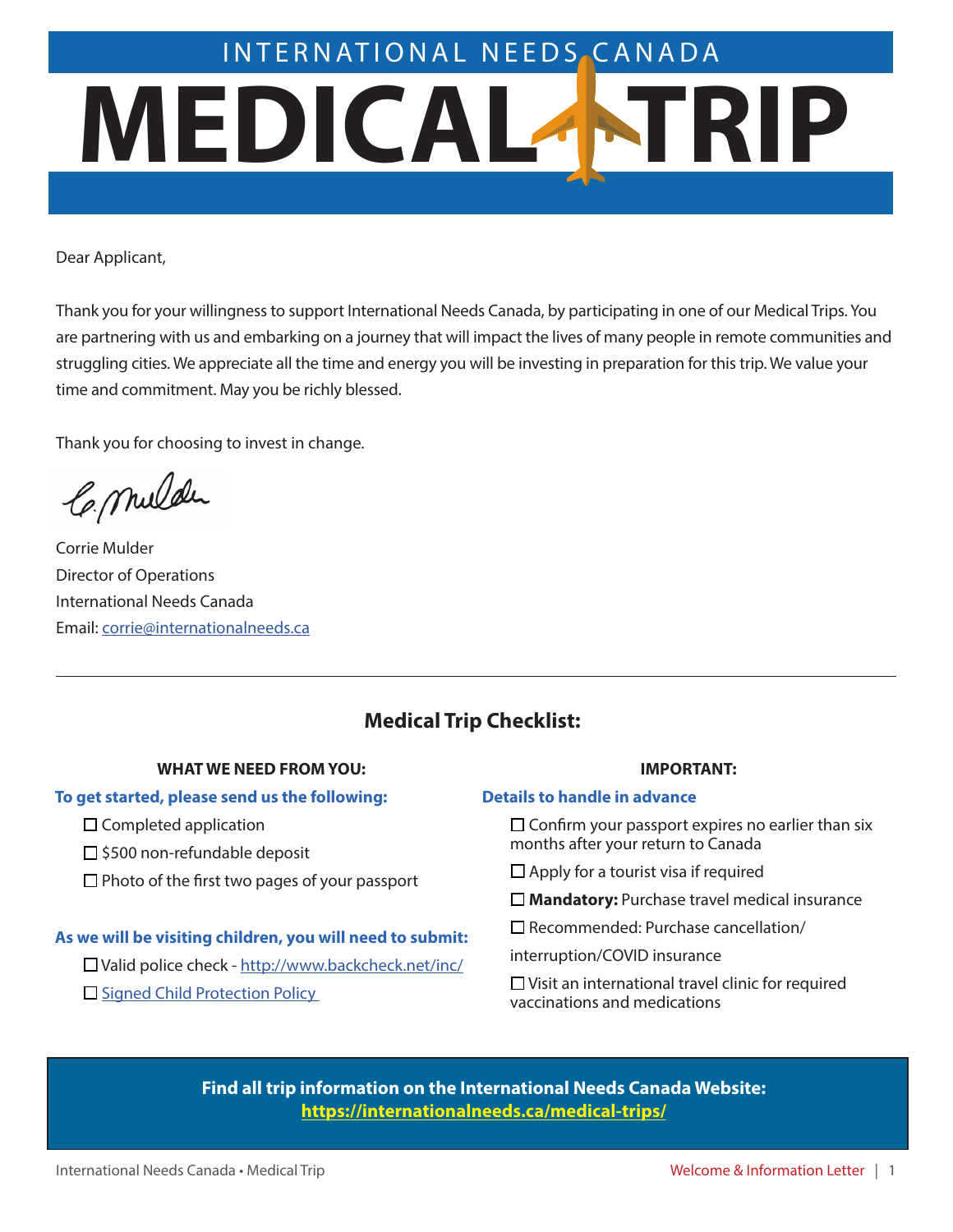# **MEDICAL TRIP** INTERNATIONAL NEEDSCANADA

Dear Applicant,

Thank you for your willingness to support International Needs Canada, by participating in one of our Medical Trips. You are partnering with us and embarking on a journey that will impact the lives of many people in remote communities and struggling cities. We appreciate all the time and energy you will be investing in preparation for this trip. We value your time and commitment. May you be richly blessed.

Thank you for choosing to invest in change.

Ce. mulder

Corrie Mulder Director of Operations International Needs Canada Email: corrie@internationalneeds.ca

# **Medical Trip Checklist:**

#### **WHAT WE NEED FROM YOU:**

#### **To get started, please send us the following:**

- $\Box$  Completed application
- $\square$  \$500 non-refundable deposit
- $\square$  Photo of the first two pages of your passport

#### **As we will be visiting children, you will need to submit:**

□ Valid police check - <http://www.backcheck.net/inc/>

 $\Box$  Signed Child Protection Policy

#### **IMPORTANT:**

#### **Details to handle in advance**

 $\Box$  Confirm your passport expires no earlier than six months after your return to Canada

 $\Box$  Apply for a tourist visa if required

□ **Mandatory:** Purchase travel medical insurance

 $\square$  Recommended: Purchase cancellation/

interruption/COVID insurance

 $\square$  Visit an international travel clinic for required vaccinations and medications

**[Find all trip information on the International Needs Canada Website:](https://internationalneeds.ca/medical-trips/)  https://internationalneeds.ca/medical-trips/**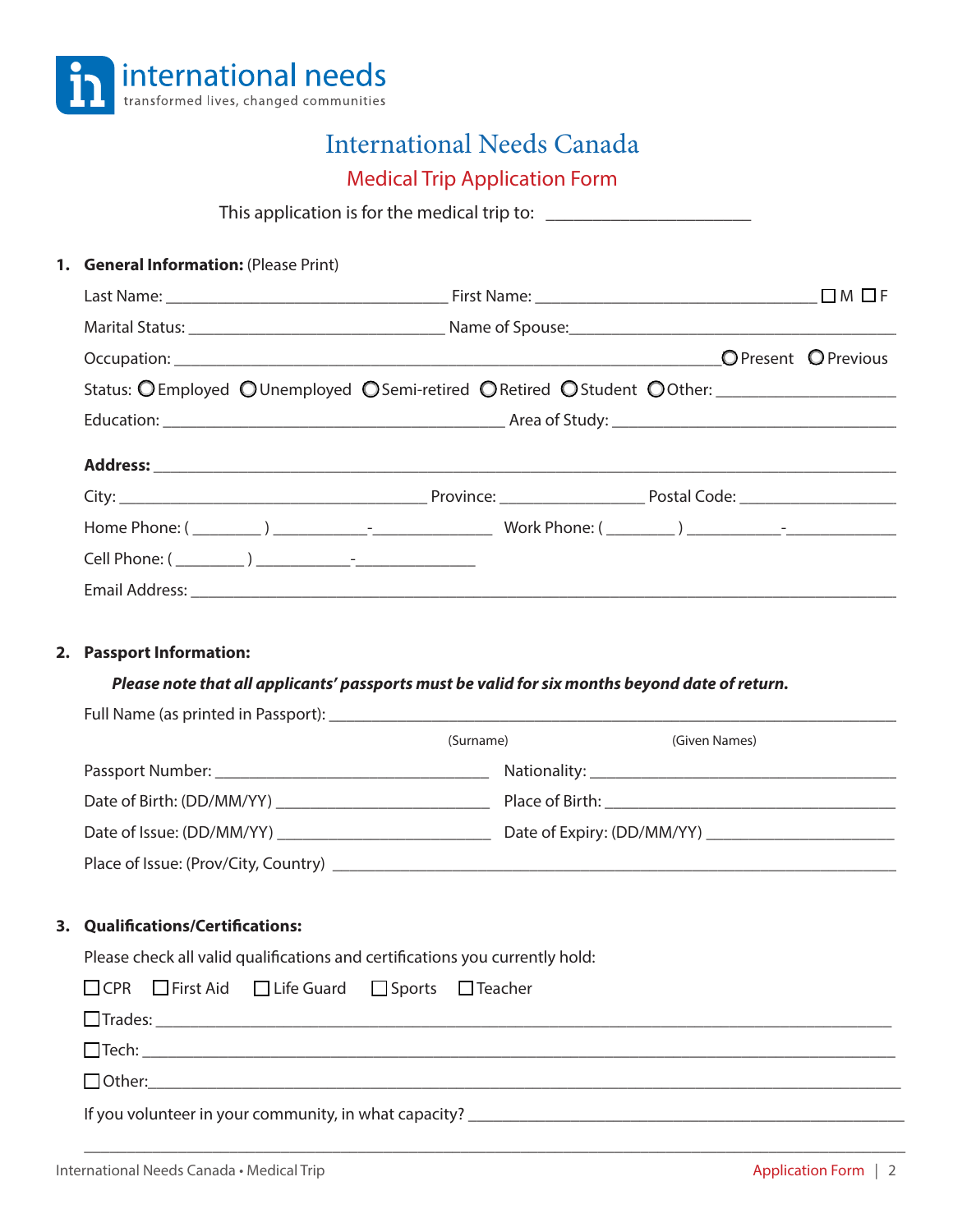

# International Needs Canada

Medical Trip Application Form

This application is for the medical trip to: \_\_\_\_\_\_\_\_\_\_\_\_\_\_\_\_\_\_\_\_\_\_

|    | 1. General Information: (Please Print)                                                         |  |
|----|------------------------------------------------------------------------------------------------|--|
|    |                                                                                                |  |
|    |                                                                                                |  |
|    |                                                                                                |  |
|    | Status: OEmployed OUnemployed OSemi-retired ORetired OStudent OOther: ___________              |  |
|    |                                                                                                |  |
|    |                                                                                                |  |
|    |                                                                                                |  |
|    |                                                                                                |  |
|    |                                                                                                |  |
|    |                                                                                                |  |
|    |                                                                                                |  |
| 2. | <b>Passport Information:</b>                                                                   |  |
|    | Please note that all applicants' passports must be valid for six months beyond date of return. |  |
|    |                                                                                                |  |

|                                                                                              | (Surname) | (Given Names) |
|----------------------------------------------------------------------------------------------|-----------|---------------|
|                                                                                              |           |               |
| Date of Birth: (DD/MM/YY)                                                                    |           |               |
|                                                                                              |           |               |
| Place of Issue: (Prov/City, Country) <b>Example 2018</b> 2019 12:00:00 Place of Issue: (Prov |           |               |

#### **3. Qualifications/Certifications:**

Please check all valid qualifications and certifications you currently hold:

|  |  | □ CPR □ First Aid □ Life Guard □ Sports □ Teacher |                                                                                  |
|--|--|---------------------------------------------------|----------------------------------------------------------------------------------|
|  |  |                                                   |                                                                                  |
|  |  | $\boxed{\text{Techn:}}$                           |                                                                                  |
|  |  |                                                   |                                                                                  |
|  |  |                                                   | If you volunteer in your community, in what capacity? __________________________ |

\_\_\_\_\_\_\_\_\_\_\_\_\_\_\_\_\_\_\_\_\_\_\_\_\_\_\_\_\_\_\_\_\_\_\_\_\_\_\_\_\_\_\_\_\_\_\_\_\_\_\_\_\_\_\_\_\_\_\_\_\_\_\_\_\_\_\_\_\_\_\_\_\_\_\_\_\_\_\_\_\_\_\_\_\_\_\_\_\_\_\_\_\_\_\_\_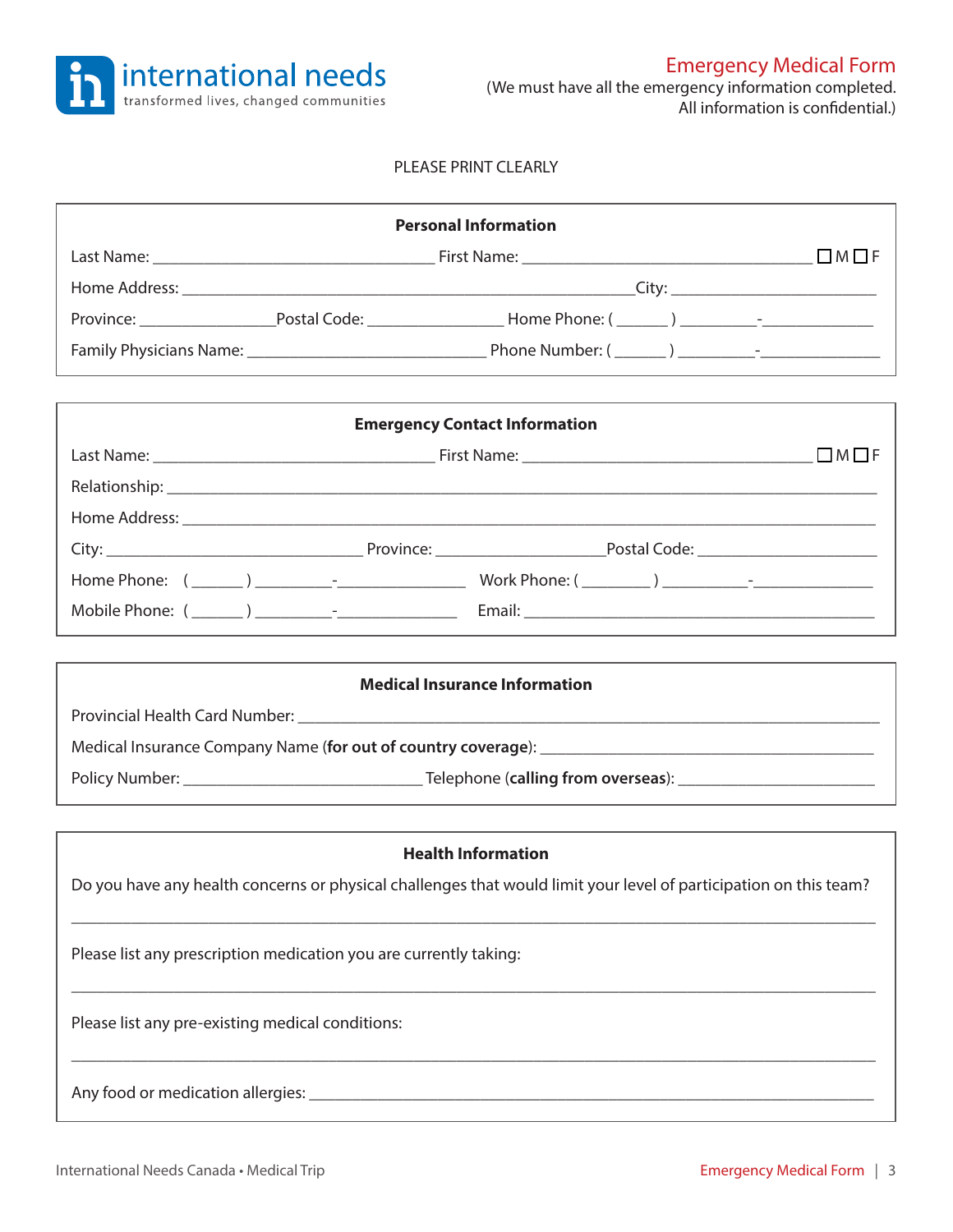

#### PLEASE PRINT CLEARLY

| <b>Personal Information</b>                                                                                       |                                      |  |  |  |
|-------------------------------------------------------------------------------------------------------------------|--------------------------------------|--|--|--|
|                                                                                                                   |                                      |  |  |  |
|                                                                                                                   |                                      |  |  |  |
|                                                                                                                   |                                      |  |  |  |
|                                                                                                                   |                                      |  |  |  |
|                                                                                                                   |                                      |  |  |  |
|                                                                                                                   | <b>Emergency Contact Information</b> |  |  |  |
|                                                                                                                   |                                      |  |  |  |
|                                                                                                                   |                                      |  |  |  |
|                                                                                                                   |                                      |  |  |  |
|                                                                                                                   |                                      |  |  |  |
|                                                                                                                   |                                      |  |  |  |
|                                                                                                                   |                                      |  |  |  |
|                                                                                                                   |                                      |  |  |  |
| <b>Medical Insurance Information</b>                                                                              |                                      |  |  |  |
|                                                                                                                   |                                      |  |  |  |
|                                                                                                                   |                                      |  |  |  |
|                                                                                                                   |                                      |  |  |  |
|                                                                                                                   |                                      |  |  |  |
|                                                                                                                   | <b>Health Information</b>            |  |  |  |
| Do you have any health concerns or physical challenges that would limit your level of participation on this team? |                                      |  |  |  |
| Please list any prescription medication you are currently taking:                                                 |                                      |  |  |  |
| Please list any pre-existing medical conditions:                                                                  |                                      |  |  |  |
|                                                                                                                   |                                      |  |  |  |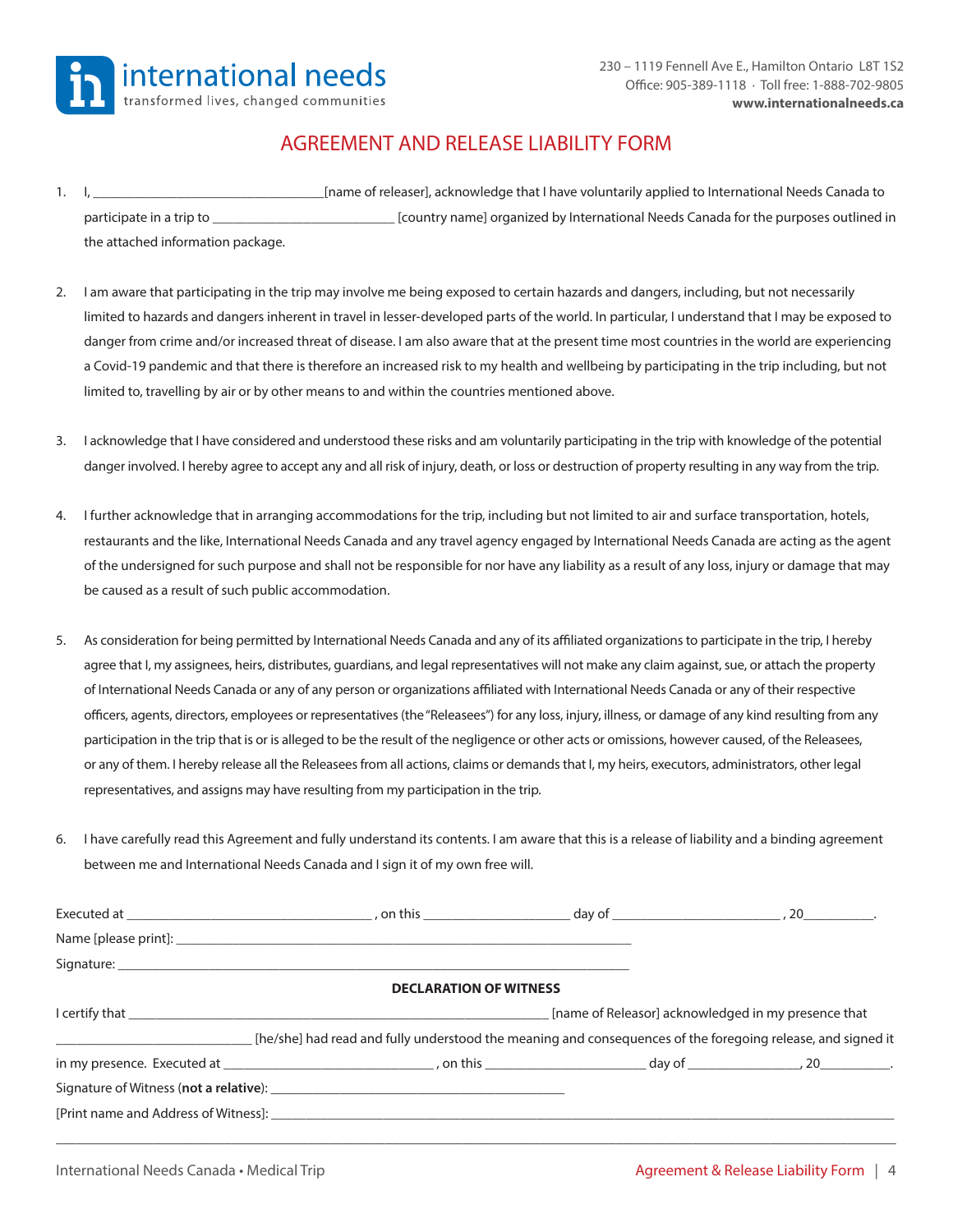

### AGREEMENT AND RELEASE LIABILITY FORM

- 1. I, \_\_\_\_\_\_\_\_\_\_\_\_\_\_\_\_\_\_\_\_\_\_\_\_\_\_\_\_\_\_\_\_\_[name of releaser], acknowledge that I have voluntarily applied to International Needs Canada to participate in a trip to \_\_\_\_\_\_\_\_\_\_\_\_\_\_\_\_\_\_\_\_\_\_\_\_\_\_ [country name] organized by International Needs Canada for the purposes outlined in the attached information package.
- 2. I am aware that participating in the trip may involve me being exposed to certain hazards and dangers, including, but not necessarily limited to hazards and dangers inherent in travel in lesser-developed parts of the world. In particular, I understand that I may be exposed to danger from crime and/or increased threat of disease. I am also aware that at the present time most countries in the world are experiencing a Covid-19 pandemic and that there is therefore an increased risk to my health and wellbeing by participating in the trip including, but not limited to, travelling by air or by other means to and within the countries mentioned above.
- 3. I acknowledge that I have considered and understood these risks and am voluntarily participating in the trip with knowledge of the potential danger involved. I hereby agree to accept any and all risk of injury, death, or loss or destruction of property resulting in any way from the trip.
- 4. I further acknowledge that in arranging accommodations for the trip, including but not limited to air and surface transportation, hotels, restaurants and the like, International Needs Canada and any travel agency engaged by International Needs Canada are acting as the agent of the undersigned for such purpose and shall not be responsible for nor have any liability as a result of any loss, injury or damage that may be caused as a result of such public accommodation.
- 5. As consideration for being permitted by International Needs Canada and any of its affiliated organizations to participate in the trip, I hereby agree that I, my assignees, heirs, distributes, guardians, and legal representatives will not make any claim against, sue, or attach the property of International Needs Canada or any of any person or organizations affiliated with International Needs Canada or any of their respective officers, agents, directors, employees or representatives (the "Releasees") for any loss, injury, illness, or damage of any kind resulting from any participation in the trip that is or is alleged to be the result of the negligence or other acts or omissions, however caused, of the Releasees, or any of them. I hereby release all the Releasees from all actions, claims or demands that I, my heirs, executors, administrators, other legal representatives, and assigns may have resulting from my participation in the trip.
- 6. I have carefully read this Agreement and fully understand its contents. I am aware that this is a release of liability and a binding agreement between me and International Needs Canada and I sign it of my own free will.

| Signature: England Contract Contract Contract Contract Contract Contract Contract Contract Contract Contract Contract Contract Contract Contract Contract Contract Contract Contract Contract Contract Contract Contract Contr |                               |                                                                                                             |
|--------------------------------------------------------------------------------------------------------------------------------------------------------------------------------------------------------------------------------|-------------------------------|-------------------------------------------------------------------------------------------------------------|
|                                                                                                                                                                                                                                | <b>DECLARATION OF WITNESS</b> |                                                                                                             |
|                                                                                                                                                                                                                                |                               | [name of Releasor] acknowledged in my presence that                                                         |
|                                                                                                                                                                                                                                |                               | [he/she] had read and fully understood the meaning and consequences of the foregoing release, and signed it |
|                                                                                                                                                                                                                                |                               |                                                                                                             |
|                                                                                                                                                                                                                                |                               |                                                                                                             |
|                                                                                                                                                                                                                                |                               |                                                                                                             |
|                                                                                                                                                                                                                                |                               |                                                                                                             |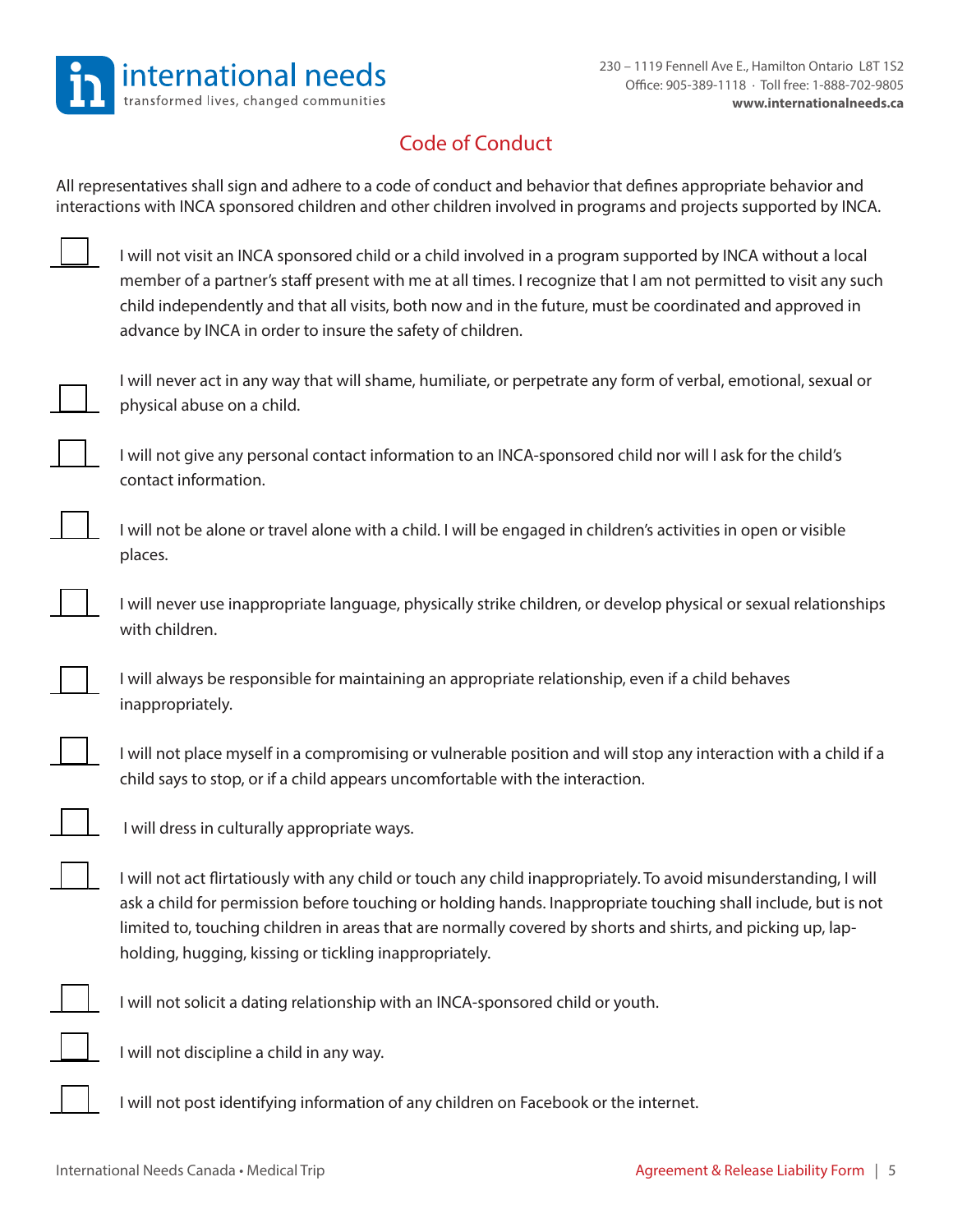

# Code of Conduct

All representatives shall sign and adhere to a code of conduct and behavior that defines appropriate behavior and interactions with INCA sponsored children and other children involved in programs and projects supported by INCA.

| I will not visit an INCA sponsored child or a child involved in a program supported by INCA without a local     |
|-----------------------------------------------------------------------------------------------------------------|
| member of a partner's staff present with me at all times. I recognize that I am not permitted to visit any such |
| child independently and that all visits, both now and in the future, must be coordinated and approved in        |
| advance by INCA in order to insure the safety of children.                                                      |

I will never act in any way that will shame, humiliate, or perpetrate any form of verbal, emotional, sexual or physical abuse on a child.

I will not give any personal contact information to an INCA-sponsored child nor will I ask for the child's contact information.

I will not be alone or travel alone with a child. I will be engaged in children's activities in open or visible places.

I will never use inappropriate language, physically strike children, or develop physical or sexual relationships with children.

I will always be responsible for maintaining an appropriate relationship, even if a child behaves inappropriately.

I will not place myself in a compromising or vulnerable position and will stop any interaction with a child if a child says to stop, or if a child appears uncomfortable with the interaction.

I will dress in culturally appropriate ways.

I will not act flirtatiously with any child or touch any child inappropriately. To avoid misunderstanding, I will ask a child for permission before touching or holding hands. Inappropriate touching shall include, but is not limited to, touching children in areas that are normally covered by shorts and shirts, and picking up, lapholding, hugging, kissing or tickling inappropriately.



I will not solicit a dating relationship with an INCA-sponsored child or youth.

I will not discipline a child in any way.

I will not post identifying information of any children on Facebook or the internet.